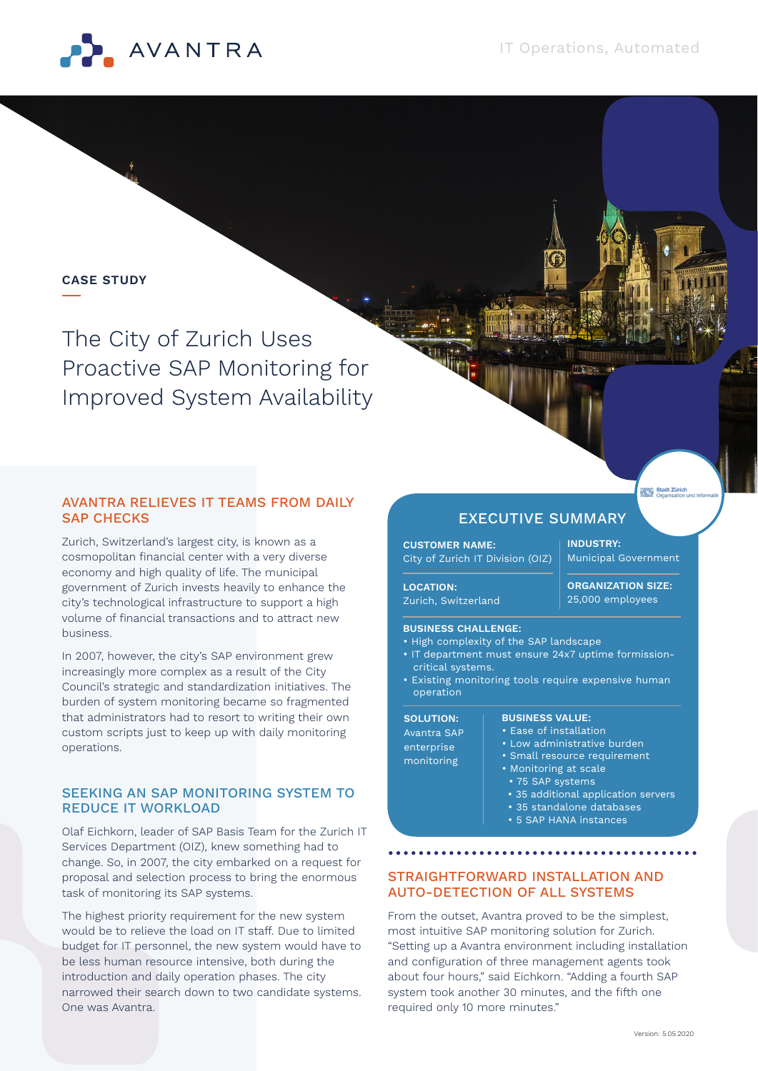

# **CASE STUDY**

The City of Zurich Uses Proactive SAP Monitoring for Improved System Availability

# AVANTRA RELIEVES IT TEAMS FROM DAILY SAP CHECKS

Zurich, Switzerland's largest city, is known as a cosmopolitan financial center with a very diverse economy and high quality of life. The municipal government of Zurich invests heavily to enhance the city's technological infrastructure to support a high volume of financial transactions and to attract new business.

In 2007, however, the city's SAP environment grew increasingly more complex as a result of the City Council's strategic and standardization initiatives. The burden of system monitoring became so fragmented that administrators had to resort to writing their own custom scripts just to keep up with daily monitoring operations.

# SEEKING AN SAP MONITORING SYSTEM TO REDUCE IT WORKLOAD

Olaf Eichkorn, leader of SAP Basis Team for the Zurich IT Services Department (OIZ), knew something had to change. So, in 2007, the city embarked on a request for proposal and selection process to bring the enormous task of monitoring its SAP systems.

The highest priority requirement for the new system would be to relieve the load on IT staff. Due to limited budget for IT personnel, the new system would have to be less human resource intensive, both during the introduction and daily operation phases. The city narrowed their search down to two candidate systems. One was Avantra.

# EXECUTIVE SUMMARY

**CUSTOMER NAME:** City of Zurich IT Division (OIZ) **INDUSTRY:** Municipal Government

Stadt Zürich<br>**ASA** Organisation

**ORGANIZATION SIZE:**

#### **LOCATION:**

Zurich, Switzerland

# 25,000 employees

# **BUSINESS CHALLENGE:**

- High complexity of the SAP landscape
- IT department must ensure 24x7 uptime formissioncritical systems.
- Existing monitoring tools require expensive human operation

#### **SOLUTION:** Avantra SAP enterprise monitoring

#### **BUSINESS VALUE:** • Ease of installation

- Low administrative burden
- Small resource requirement
- Monitoring at scale
- 75 SAP systems
- 35 additional application servers
- 35 standalone databases
- 5 SAP HANA instances

# STRAIGHTFORWARD INSTALLATION AND AUTO-DETECTION OF ALL SYSTEMS

From the outset, Avantra proved to be the simplest, most intuitive SAP monitoring solution for Zurich. "Setting up a Avantra environment including installation and configuration of three management agents took about four hours," said Eichkorn. "Adding a fourth SAP system took another 30 minutes, and the fifth one required only 10 more minutes."